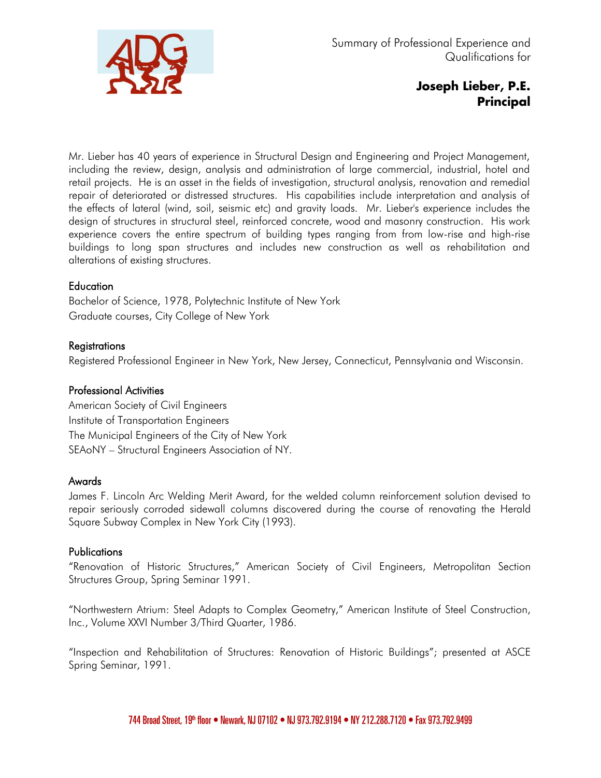

# Joseph Lieber, P.E. Principal

Mr. Lieber has 40 years of experience in Structural Design and Engineering and Project Management, including the review, design, analysis and administration of large commercial, industrial, hotel and retail projects. He is an asset in the fields of investigation, structural analysis, renovation and remedial repair of deteriorated or distressed structures. His capabilities include interpretation and analysis of the effects of lateral (wind, soil, seismic etc) and gravity loads. Mr. Lieber's experience includes the design of structures in structural steel, reinforced concrete, wood and masonry construction. His work experience covers the entire spectrum of building types ranging from from low-rise and high-rise buildings to long span structures and includes new construction as well as rehabilitation and alterations of existing structures.

# **Education**

Bachelor of Science, 1978, Polytechnic Institute of New York Graduate courses, City College of New York

# **Registrations**

Registered Professional Engineer in New York, New Jersey, Connecticut, Pennsylvania and Wisconsin.

# Professional Activities

American Society of Civil Engineers Institute of Transportation Engineers The Municipal Engineers of the City of New York SEAoNY – Structural Engineers Association of NY.

# Awards

James F. Lincoln Arc Welding Merit Award, for the welded column reinforcement solution devised to repair seriously corroded sidewall columns discovered during the course of renovating the Herald Square Subway Complex in New York City (1993).

# **Publications**

"Renovation of Historic Structures," American Society of Civil Engineers, Metropolitan Section Structures Group, Spring Seminar 1991.

"Northwestern Atrium: Steel Adapts to Complex Geometry," American Institute of Steel Construction, Inc., Volume XXVI Number 3/Third Quarter, 1986.

"Inspection and Rehabilitation of Structures: Renovation of Historic Buildings"; presented at ASCE Spring Seminar, 1991.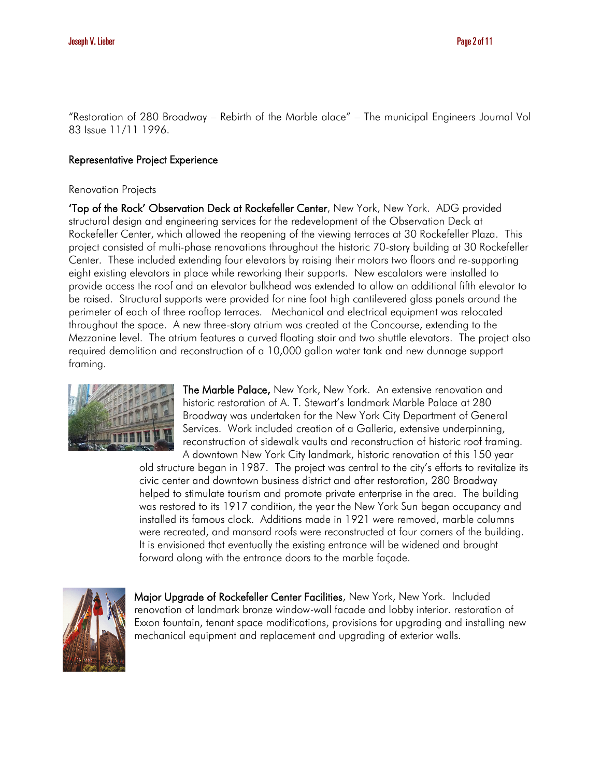"Restoration of 280 Broadway – Rebirth of the Marble alace" – The municipal Engineers Journal Vol 83 Issue 11/11 1996.

# Representative Project Experience

#### Renovation Projects

'Top of the Rock' Observation Deck at Rockefeller Center, New York, New York. ADG provided structural design and engineering services for the redevelopment of the Observation Deck at Rockefeller Center, which allowed the reopening of the viewing terraces at 30 Rockefeller Plaza. This project consisted of multi-phase renovations throughout the historic 70-story building at 30 Rockefeller Center. These included extending four elevators by raising their motors two floors and re-supporting eight existing elevators in place while reworking their supports. New escalators were installed to provide access the roof and an elevator bulkhead was extended to allow an additional fifth elevator to be raised. Structural supports were provided for nine foot high cantilevered glass panels around the perimeter of each of three rooftop terraces. Mechanical and electrical equipment was relocated throughout the space. A new three-story atrium was created at the Concourse, extending to the Mezzanine level. The atrium features a curved floating stair and two shuttle elevators. The project also required demolition and reconstruction of a 10,000 gallon water tank and new dunnage support framing.



The Marble Palace, New York, New York. An extensive renovation and historic restoration of A. T. Stewart's landmark Marble Palace at 280 Broadway was undertaken for the New York City Department of General Services. Work included creation of a Galleria, extensive underpinning, reconstruction of sidewalk vaults and reconstruction of historic roof framing. A downtown New York City landmark, historic renovation of this 150 year

old structure began in 1987. The project was central to the city's efforts to revitalize its civic center and downtown business district and after restoration, 280 Broadway helped to stimulate tourism and promote private enterprise in the area. The building was restored to its 1917 condition, the year the New York Sun began occupancy and installed its famous clock. Additions made in 1921 were removed, marble columns were recreated, and mansard roofs were reconstructed at four corners of the building. It is envisioned that eventually the existing entrance will be widened and brought forward along with the entrance doors to the marble façade.



Major Upgrade of Rockefeller Center Facilities, New York, New York. Included renovation of landmark bronze window-wall facade and lobby interior. restoration of Exxon fountain, tenant space modifications, provisions for upgrading and installing new mechanical equipment and replacement and upgrading of exterior walls.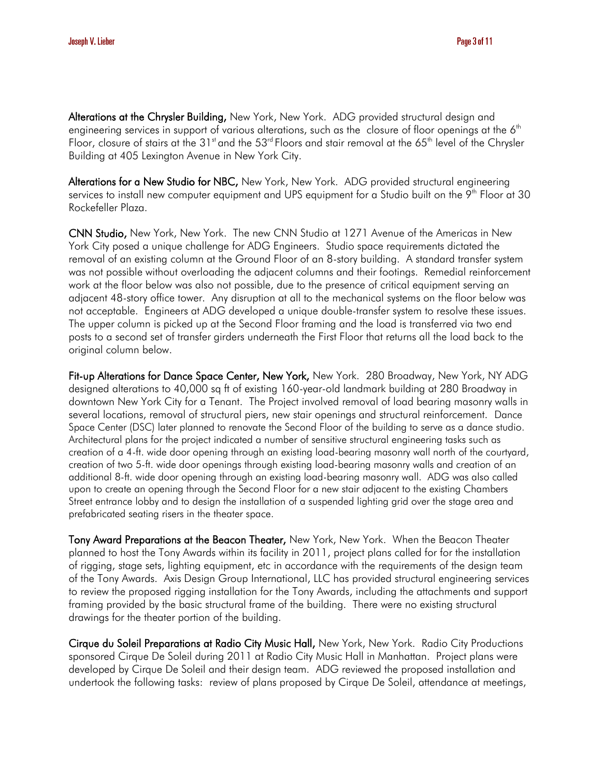Alterations at the Chrysler Building, New York, New York. ADG provided structural design and engineering services in support of various alterations, such as the closure of floor openings at the 6<sup>th</sup> Floor, closure of stairs at the 31st and the 53<sup>rd</sup> Floors and stair removal at the 65<sup>th</sup> level of the Chrysler Building at 405 Lexington Avenue in New York City.

Alterations for a New Studio for NBC, New York, New York. ADG provided structural engineering services to install new computer equipment and UPS equipment for a Studio built on the 9<sup>th</sup> Floor at 30 Rockefeller Plaza.

CNN Studio, New York, New York. The new CNN Studio at 1271 Avenue of the Americas in New York City posed a unique challenge for ADG Engineers. Studio space requirements dictated the removal of an existing column at the Ground Floor of an 8-story building. A standard transfer system was not possible without overloading the adjacent columns and their footings. Remedial reinforcement work at the floor below was also not possible, due to the presence of critical equipment serving an adjacent 48-story office tower. Any disruption at all to the mechanical systems on the floor below was not acceptable. Engineers at ADG developed a unique double-transfer system to resolve these issues. The upper column is picked up at the Second Floor framing and the load is transferred via two end posts to a second set of transfer girders underneath the First Floor that returns all the load back to the original column below.

Fit-up Alterations for Dance Space Center, New York, New York. 280 Broadway, New York, NY ADG designed alterations to 40,000 sq ft of existing 160-year-old landmark building at 280 Broadway in downtown New York City for a Tenant. The Project involved removal of load bearing masonry walls in several locations, removal of structural piers, new stair openings and structural reinforcement. Dance Space Center (DSC) later planned to renovate the Second Floor of the building to serve as a dance studio. Architectural plans for the project indicated a number of sensitive structural engineering tasks such as creation of a 4-ft. wide door opening through an existing load-bearing masonry wall north of the courtyard, creation of two 5-ft. wide door openings through existing load-bearing masonry walls and creation of an additional 8-ft. wide door opening through an existing load-bearing masonry wall. ADG was also called upon to create an opening through the Second Floor for a new stair adjacent to the existing Chambers Street entrance lobby and to design the installation of a suspended lighting grid over the stage area and prefabricated seating risers in the theater space.

Tony Award Preparations at the Beacon Theater, New York, New York. When the Beacon Theater planned to host the Tony Awards within its facility in 2011, project plans called for for the installation of rigging, stage sets, lighting equipment, etc in accordance with the requirements of the design team of the Tony Awards. Axis Design Group International, LLC has provided structural engineering services to review the proposed rigging installation for the Tony Awards, including the attachments and support framing provided by the basic structural frame of the building. There were no existing structural drawings for the theater portion of the building.

Cirque du Soleil Preparations at Radio City Music Hall, New York, New York. Radio City Productions sponsored Cirque De Soleil during 2011 at Radio City Music Hall in Manhattan. Project plans were developed by Cirque De Soleil and their design team. ADG reviewed the proposed installation and undertook the following tasks: review of plans proposed by Cirque De Soleil, attendance at meetings,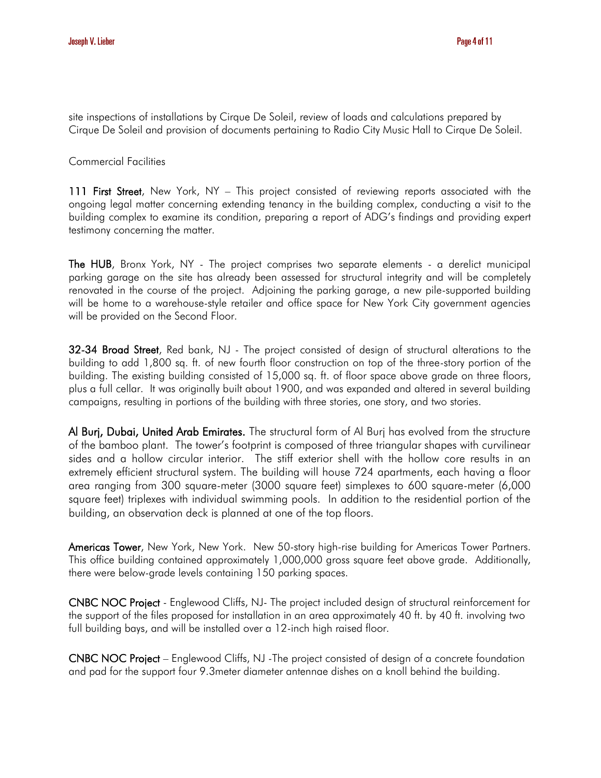site inspections of installations by Cirque De Soleil, review of loads and calculations prepared by Cirque De Soleil and provision of documents pertaining to Radio City Music Hall to Cirque De Soleil.

Commercial Facilities

111 First Street, New York, NY – This project consisted of reviewing reports associated with the ongoing legal matter concerning extending tenancy in the building complex, conducting a visit to the building complex to examine its condition, preparing a report of ADG's findings and providing expert testimony concerning the matter.

The HUB, Bronx York, NY - The project comprises two separate elements - a derelict municipal parking garage on the site has already been assessed for structural integrity and will be completely renovated in the course of the project. Adjoining the parking garage, a new pile-supported building will be home to a warehouse-style retailer and office space for New York City government agencies will be provided on the Second Floor.

32-34 Broad Street, Red bank, NJ - The project consisted of design of structural alterations to the building to add 1,800 sq. ft. of new fourth floor construction on top of the three-story portion of the building. The existing building consisted of 15,000 sq. ft. of floor space above grade on three floors, plus a full cellar. It was originally built about 1900, and was expanded and altered in several building campaigns, resulting in portions of the building with three stories, one story, and two stories.

Al Burj, Dubai, United Arab Emirates. The structural form of Al Burj has evolved from the structure of the bamboo plant. The tower's footprint is composed of three triangular shapes with curvilinear sides and a hollow circular interior. The stiff exterior shell with the hollow core results in an extremely efficient structural system. The building will house 724 apartments, each having a floor area ranging from 300 square-meter (3000 square feet) simplexes to 600 square-meter (6,000 square feet) triplexes with individual swimming pools. In addition to the residential portion of the building, an observation deck is planned at one of the top floors.

Americas Tower, New York, New York. New 50-story high-rise building for Americas Tower Partners. This office building contained approximately 1,000,000 gross square feet above grade. Additionally, there were below-grade levels containing 150 parking spaces.

CNBC NOC Project - Englewood Cliffs, NJ- The project included design of structural reinforcement for the support of the files proposed for installation in an area approximately 40 ft. by 40 ft. involving two full building bays, and will be installed over a 12-inch high raised floor.

CNBC NOC Project – Englewood Cliffs, NJ -The project consisted of design of a concrete foundation and pad for the support four 9.3meter diameter antennae dishes on a knoll behind the building.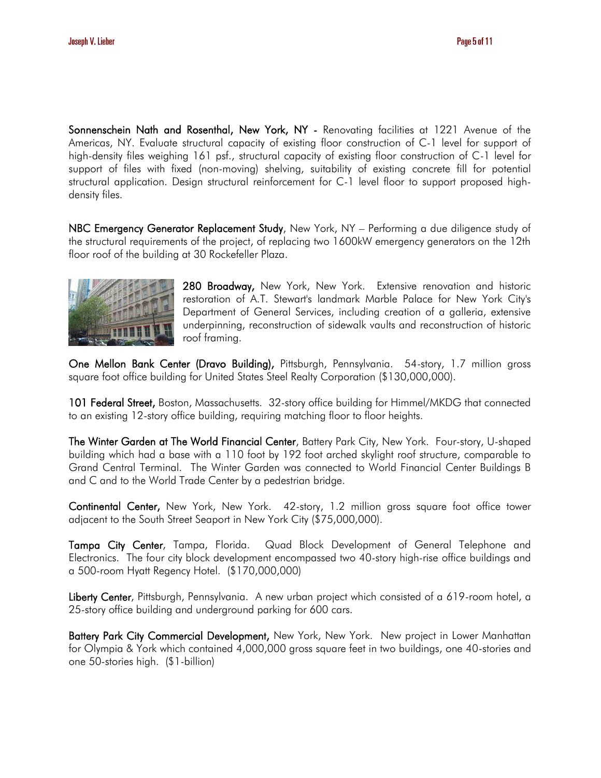Sonnenschein Nath and Rosenthal, New York, NY - Renovating facilities at 1221 Avenue of the Americas, NY. Evaluate structural capacity of existing floor construction of C-1 level for support of high-density files weighing 161 psf., structural capacity of existing floor construction of C-1 level for support of files with fixed (non-moving) shelving, suitability of existing concrete fill for potential structural application. Design structural reinforcement for C-1 level floor to support proposed highdensity files.

NBC Emergency Generator Replacement Study, New York, NY - Performing a due diligence study of the structural requirements of the project, of replacing two 1600kW emergency generators on the 12th floor roof of the building at 30 Rockefeller Plaza.



280 Broadway, New York, New York. Extensive renovation and historic restoration of A.T. Stewart's landmark Marble Palace for New York City's Department of General Services, including creation of a galleria, extensive underpinning, reconstruction of sidewalk vaults and reconstruction of historic roof framing.

One Mellon Bank Center (Dravo Building), Pittsburgh, Pennsylvania. 54-story, 1.7 million gross square foot office building for United States Steel Realty Corporation (\$130,000,000).

101 Federal Street, Boston, Massachusetts. 32-story office building for Himmel/MKDG that connected to an existing 12-story office building, requiring matching floor to floor heights.

The Winter Garden at The World Financial Center, Battery Park City, New York. Four-story, U-shaped building which had a base with a 110 foot by 192 foot arched skylight roof structure, comparable to Grand Central Terminal. The Winter Garden was connected to World Financial Center Buildings B and C and to the World Trade Center by a pedestrian bridge.

Continental Center, New York, New York. 42-story, 1.2 million gross square foot office tower adjacent to the South Street Seaport in New York City (\$75,000,000).

Tampa City Center, Tampa, Florida. Quad Block Development of General Telephone and Electronics. The four city block development encompassed two 40-story high-rise office buildings and a 500-room Hyatt Regency Hotel. (\$170,000,000)

Liberty Center, Pittsburgh, Pennsylvania. A new urban project which consisted of a 619-room hotel, a 25-story office building and underground parking for 600 cars.

Battery Park City Commercial Development, New York, New York. New project in Lower Manhattan for Olympia & York which contained 4,000,000 gross square feet in two buildings, one 40-stories and one 50-stories high. (\$1-billion)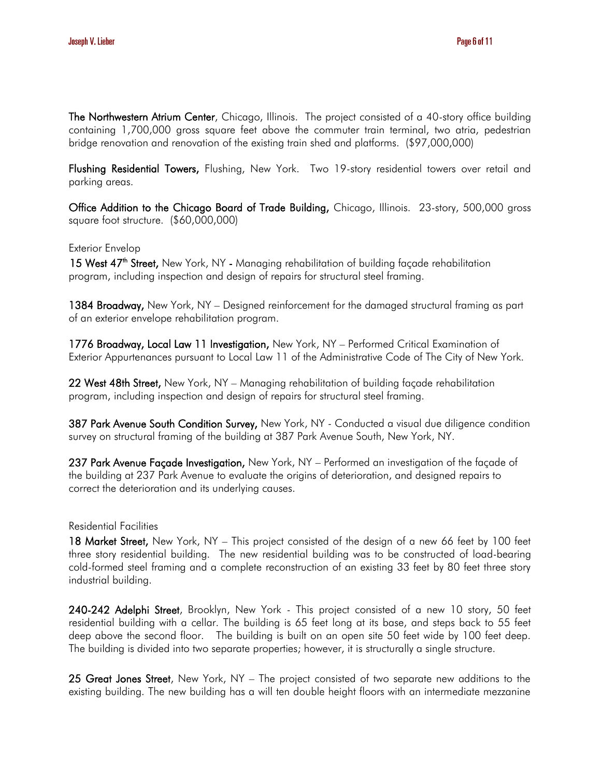The Northwestern Atrium Center, Chicago, Illinois. The project consisted of a 40-story office building containing 1,700,000 gross square feet above the commuter train terminal, two atria, pedestrian bridge renovation and renovation of the existing train shed and platforms. (\$97,000,000)

Flushing Residential Towers, Flushing, New York. Two 19-story residential towers over retail and parking areas.

Office Addition to the Chicago Board of Trade Building, Chicago, Illinois. 23-story, 500,000 gross square foot structure. (\$60,000,000)

### Exterior Envelop

15 West 47<sup>th</sup> Street, New York, NY - Managing rehabilitation of building façade rehabilitation program, including inspection and design of repairs for structural steel framing.

1384 Broadway, New York, NY – Designed reinforcement for the damaged structural framing as part of an exterior envelope rehabilitation program.

1776 Broadway, Local Law 11 Investigation, New York, NY – Performed Critical Examination of Exterior Appurtenances pursuant to Local Law 11 of the Administrative Code of The City of New York.

22 West 48th Street, New York, NY – Managing rehabilitation of building façade rehabilitation program, including inspection and design of repairs for structural steel framing.

387 Park Avenue South Condition Survey, New York, NY - Conducted a visual due diligence condition survey on structural framing of the building at 387 Park Avenue South, New York, NY.

237 Park Avenue Façade Investigation, New York, NY - Performed an investigation of the façade of the building at 237 Park Avenue to evaluate the origins of deterioration, and designed repairs to correct the deterioration and its underlying causes.

#### Residential Facilities

18 Market Street, New York, NY – This project consisted of the design of a new 66 feet by 100 feet three story residential building. The new residential building was to be constructed of load-bearing cold-formed steel framing and a complete reconstruction of an existing 33 feet by 80 feet three story industrial building.

240-242 Adelphi Street, Brooklyn, New York - This project consisted of a new 10 story, 50 feet residential building with a cellar. The building is 65 feet long at its base, and steps back to 55 feet deep above the second floor. The building is built on an open site 50 feet wide by 100 feet deep. The building is divided into two separate properties; however, it is structurally a single structure.

25 Great Jones Street, New York, NY – The project consisted of two separate new additions to the existing building. The new building has a will ten double height floors with an intermediate mezzanine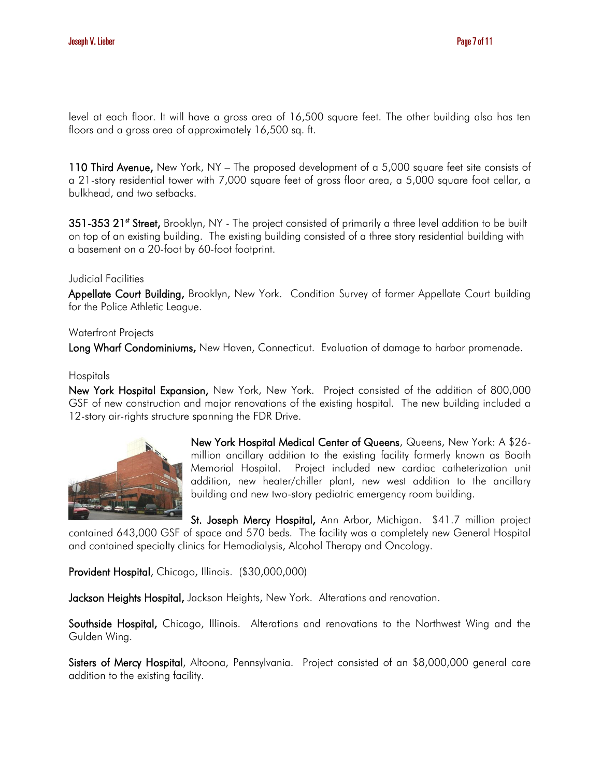level at each floor. It will have a gross area of 16,500 square feet. The other building also has ten floors and a gross area of approximately 16,500 sq. ft.

110 Third Avenue, New York, NY - The proposed development of a 5,000 square feet site consists of a 21-story residential tower with 7,000 square feet of gross floor area, a 5,000 square foot cellar, a bulkhead, and two setbacks.

351-353 21<sup>st</sup> Street, Brooklyn, NY - The project consisted of primarily a three level addition to be built on top of an existing building. The existing building consisted of a three story residential building with a basement on a 20-foot by 60-foot footprint.

# Judicial Facilities

Appellate Court Building, Brooklyn, New York. Condition Survey of former Appellate Court building for the Police Athletic League.

# Waterfront Projects

Long Wharf Condominiums, New Haven, Connecticut. Evaluation of damage to harbor promenade.

### **Hospitals**

New York Hospital Expansion, New York, New York. Project consisted of the addition of 800,000 GSF of new construction and major renovations of the existing hospital. The new building included a 12-story air-rights structure spanning the FDR Drive.



New York Hospital Medical Center of Queens, Queens, New York: A \$26 million ancillary addition to the existing facility formerly known as Booth Memorial Hospital. Project included new cardiac catheterization unit addition, new heater/chiller plant, new west addition to the ancillary building and new two-story pediatric emergency room building.

St. Joseph Mercy Hospital, Ann Arbor, Michigan. \$41.7 million project contained 643,000 GSF of space and 570 beds. The facility was a completely new General Hospital and contained specialty clinics for Hemodialysis, Alcohol Therapy and Oncology.

Provident Hospital, Chicago, Illinois. (\$30,000,000)

Jackson Heights Hospital, Jackson Heights, New York. Alterations and renovation.

Southside Hospital, Chicago, Illinois. Alterations and renovations to the Northwest Wing and the Gulden Wing.

Sisters of Mercy Hospital, Altoona, Pennsylvania. Project consisted of an \$8,000,000 general care addition to the existing facility.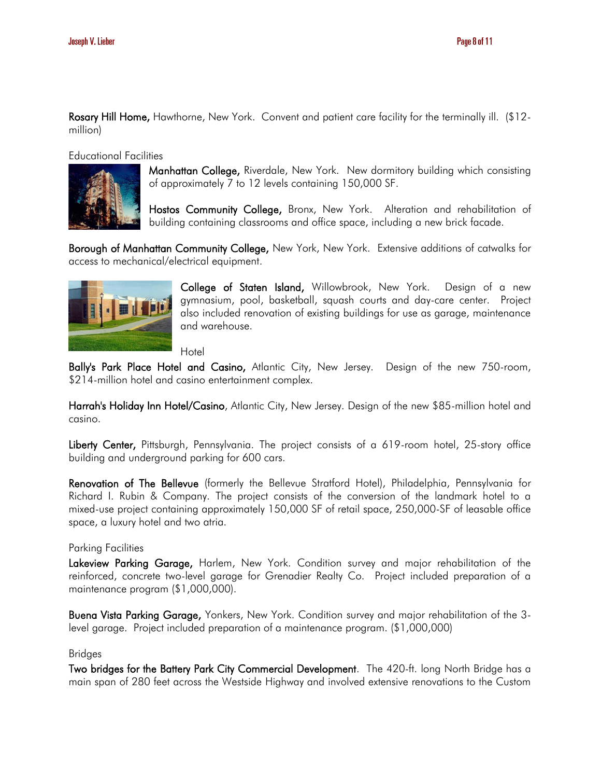Rosary Hill Home, Hawthorne, New York. Convent and patient care facility for the terminally ill. (\$12million)

#### Educational Facilities



Manhattan College, Riverdale, New York. New dormitory building which consisting of approximately 7 to 12 levels containing 150,000 SF.

Hostos Community College, Bronx, New York. Alteration and rehabilitation of building containing classrooms and office space, including a new brick facade.

Borough of Manhattan Community College, New York, New York. Extensive additions of catwalks for access to mechanical/electrical equipment.



College of Staten Island, Willowbrook, New York. Design of a new gymnasium, pool, basketball, squash courts and day-care center. Project also included renovation of existing buildings for use as garage, maintenance and warehouse.

Hotel

Bally's Park Place Hotel and Casino, Atlantic City, New Jersey. Design of the new 750-room, \$214-million hotel and casino entertainment complex.

Harrah's Holiday Inn Hotel/Casino, Atlantic City, New Jersey. Design of the new \$85-million hotel and casino.

Liberty Center, Pittsburgh, Pennsylvania. The project consists of a 619-room hotel, 25-story office building and underground parking for 600 cars.

Renovation of The Bellevue (formerly the Bellevue Stratford Hotel), Philadelphia, Pennsylvania for Richard I. Rubin & Company. The project consists of the conversion of the landmark hotel to a mixed-use project containing approximately 150,000 SF of retail space, 250,000-SF of leasable office space, a luxury hotel and two atria.

### Parking Facilities

Lakeview Parking Garage, Harlem, New York. Condition survey and major rehabilitation of the reinforced, concrete two-level garage for Grenadier Realty Co. Project included preparation of a maintenance program (\$1,000,000).

Buena Vista Parking Garage, Yonkers, New York. Condition survey and major rehabilitation of the 3level garage. Project included preparation of a maintenance program. (\$1,000,000)

### Bridges

Two bridges for the Battery Park City Commercial Development. The 420-ft. long North Bridge has a main span of 280 feet across the Westside Highway and involved extensive renovations to the Custom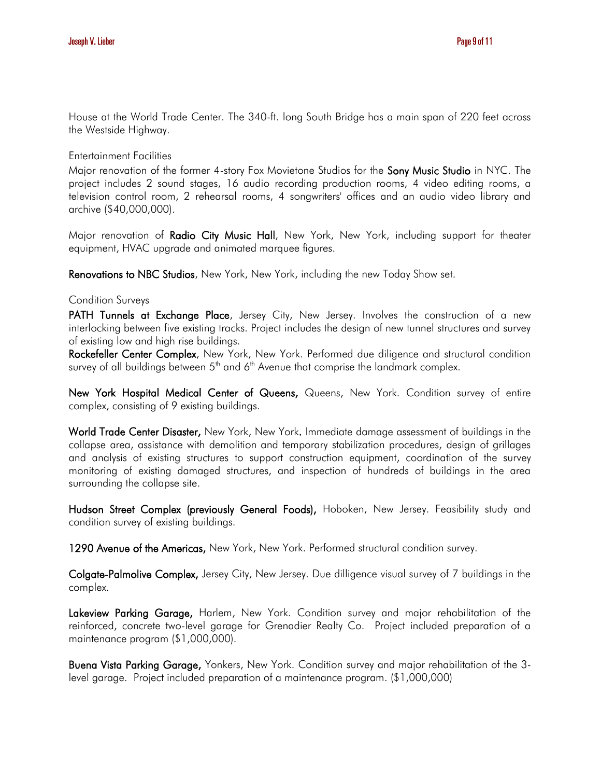House at the World Trade Center. The 340-ft. long South Bridge has a main span of 220 feet across the Westside Highway.

Entertainment Facilities

Major renovation of the former 4-story Fox Movietone Studios for the Sony Music Studio in NYC. The project includes 2 sound stages, 16 audio recording production rooms, 4 video editing rooms, a television control room, 2 rehearsal rooms, 4 songwriters' offices and an audio video library and archive (\$40,000,000).

Major renovation of Radio City Music Hall, New York, New York, including support for theater equipment, HVAC upgrade and animated marquee figures.

Renovations to NBC Studios, New York, New York, including the new Today Show set.

### Condition Surveys

PATH Tunnels at Exchange Place, Jersey City, New Jersey. Involves the construction of a new interlocking between five existing tracks. Project includes the design of new tunnel structures and survey of existing low and high rise buildings.

Rockefeller Center Complex, New York, New York. Performed due diligence and structural condition survey of all buildings between  $5<sup>th</sup>$  and  $6<sup>th</sup>$  Avenue that comprise the landmark complex.

New York Hospital Medical Center of Queens, Queens, New York. Condition survey of entire complex, consisting of 9 existing buildings.

World Trade Center Disaster, New York, New York. Immediate damage assessment of buildings in the collapse area, assistance with demolition and temporary stabilization procedures, design of grillages and analysis of existing structures to support construction equipment, coordination of the survey monitoring of existing damaged structures, and inspection of hundreds of buildings in the area surrounding the collapse site.

Hudson Street Complex (previously General Foods), Hoboken, New Jersey. Feasibility study and condition survey of existing buildings.

1290 Avenue of the Americas, New York, New York. Performed structural condition survey.

Colgate-Palmolive Complex, Jersey City, New Jersey. Due dilligence visual survey of 7 buildings in the complex.

Lakeview Parking Garage, Harlem, New York. Condition survey and major rehabilitation of the reinforced, concrete two-level garage for Grenadier Realty Co. Project included preparation of a maintenance program (\$1,000,000).

Buena Vista Parking Garage, Yonkers, New York. Condition survey and major rehabilitation of the 3 level garage. Project included preparation of a maintenance program. (\$1,000,000)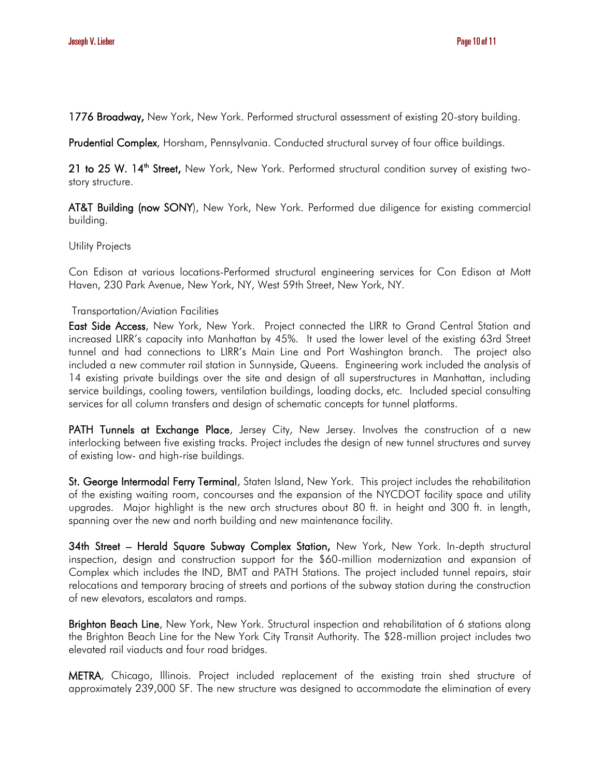1776 Broadway, New York, New York. Performed structural assessment of existing 20-story building.

Prudential Complex, Horsham, Pennsylvania. Conducted structural survey of four office buildings.

21 to 25 W. 14<sup>th</sup> Street, New York, New York. Performed structural condition survey of existing twostory structure.

AT&T Building (now SONY), New York, New York. Performed due diligence for existing commercial building.

### Utility Projects

Con Edison at various locations-Performed structural engineering services for Con Edison at Mott Haven, 230 Park Avenue, New York, NY, West 59th Street, New York, NY.

# Transportation/Aviation Facilities

East Side Access, New York, New York. Project connected the LIRR to Grand Central Station and increased LIRR's capacity into Manhattan by 45%. It used the lower level of the existing 63rd Street tunnel and had connections to LIRR's Main Line and Port Washington branch. The project also included a new commuter rail station in Sunnyside, Queens. Engineering work included the analysis of 14 existing private buildings over the site and design of all superstructures in Manhattan, including service buildings, cooling towers, ventilation buildings, loading docks, etc. Included special consulting services for all column transfers and design of schematic concepts for tunnel platforms.

PATH Tunnels at Exchange Place, Jersey City, New Jersey. Involves the construction of a new interlocking between five existing tracks. Project includes the design of new tunnel structures and survey of existing low- and high-rise buildings.

St. George Intermodal Ferry Terminal, Staten Island, New York. This project includes the rehabilitation of the existing waiting room, concourses and the expansion of the NYCDOT facility space and utility upgrades. Major highlight is the new arch structures about 80 ft. in height and 300 ft. in length, spanning over the new and north building and new maintenance facility.

34th Street - Herald Square Subway Complex Station, New York, New York. In-depth structural inspection, design and construction support for the \$60-million modernization and expansion of Complex which includes the IND, BMT and PATH Stations. The project included tunnel repairs, stair relocations and temporary bracing of streets and portions of the subway station during the construction of new elevators, escalators and ramps.

Brighton Beach Line, New York, New York. Structural inspection and rehabilitation of 6 stations along the Brighton Beach Line for the New York City Transit Authority. The \$28-million project includes two elevated rail viaducts and four road bridges.

METRA, Chicago, Illinois. Project included replacement of the existing train shed structure of approximately 239,000 SF. The new structure was designed to accommodate the elimination of every